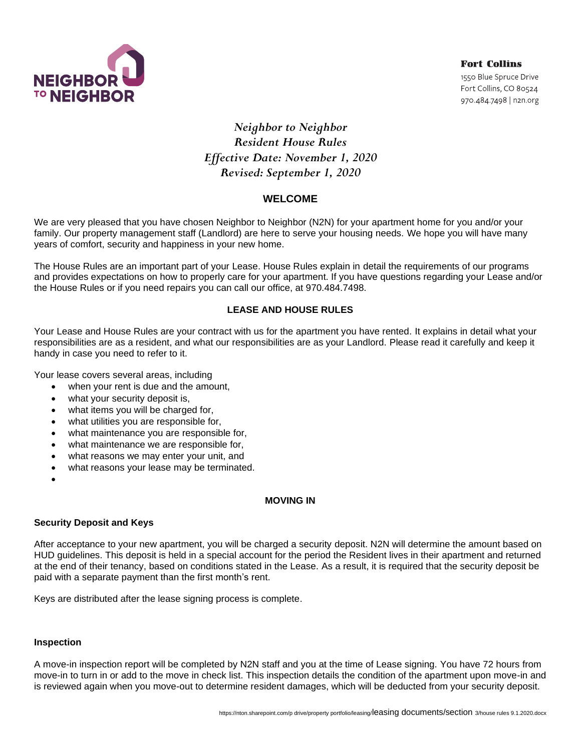

**Fort Collins** 1550 Blue Spruce Drive Fort Collins, CO 80524 970.484.7498 | n2n.org

# *Neighbor to Neighbor Resident House Rules Effective Date: November 1, 2020 Revised: September 1, 2020*

# **WELCOME**

We are very pleased that you have chosen Neighbor to Neighbor (N2N) for your apartment home for you and/or your family. Our property management staff (Landlord) are here to serve your housing needs. We hope you will have many years of comfort, security and happiness in your new home.

The House Rules are an important part of your Lease. House Rules explain in detail the requirements of our programs and provides expectations on how to properly care for your apartment. If you have questions regarding your Lease and/or the House Rules or if you need repairs you can call our office, at 970.484.7498.

# **LEASE AND HOUSE RULES**

Your Lease and House Rules are your contract with us for the apartment you have rented. It explains in detail what your responsibilities are as a resident, and what our responsibilities are as your Landlord. Please read it carefully and keep it handy in case you need to refer to it.

Your lease covers several areas, including

- when your rent is due and the amount,
- what your security deposit is,
- what items you will be charged for,
- what utilities you are responsible for,
- what maintenance you are responsible for,
- what maintenance we are responsible for,
- what reasons we may enter your unit, and
- what reasons your lease may be terminated.
- •

## **MOVING IN**

## **Security Deposit and Keys**

After acceptance to your new apartment, you will be charged a security deposit. N2N will determine the amount based on HUD guidelines. This deposit is held in a special account for the period the Resident lives in their apartment and returned at the end of their tenancy, based on conditions stated in the Lease. As a result, it is required that the security deposit be paid with a separate payment than the first month's rent.

Keys are distributed after the lease signing process is complete.

## **Inspection**

A move-in inspection report will be completed by N2N staff and you at the time of Lease signing. You have 72 hours from move-in to turn in or add to the move in check list. This inspection details the condition of the apartment upon move-in and is reviewed again when you move-out to determine resident damages, which will be deducted from your security deposit.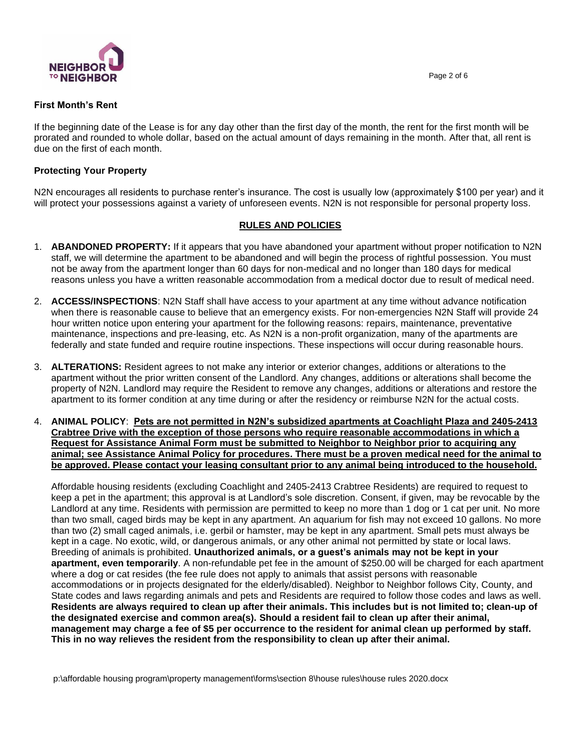



## **First Month's Rent**

If the beginning date of the Lease is for any day other than the first day of the month, the rent for the first month will be prorated and rounded to whole dollar, based on the actual amount of days remaining in the month. After that, all rent is due on the first of each month.

## **Protecting Your Property**

N2N encourages all residents to purchase renter's insurance. The cost is usually low (approximately \$100 per year) and it will protect your possessions against a variety of unforeseen events. N2N is not responsible for personal property loss.

## **RULES AND POLICIES**

- 1. **ABANDONED PROPERTY:** If it appears that you have abandoned your apartment without proper notification to N2N staff, we will determine the apartment to be abandoned and will begin the process of rightful possession. You must not be away from the apartment longer than 60 days for non-medical and no longer than 180 days for medical reasons unless you have a written reasonable accommodation from a medical doctor due to result of medical need.
- 2. **ACCESS/INSPECTIONS**: N2N Staff shall have access to your apartment at any time without advance notification when there is reasonable cause to believe that an emergency exists. For non-emergencies N2N Staff will provide 24 hour written notice upon entering your apartment for the following reasons: repairs, maintenance, preventative maintenance, inspections and pre-leasing, etc. As N2N is a non-profit organization, many of the apartments are federally and state funded and require routine inspections. These inspections will occur during reasonable hours.
- 3. **ALTERATIONS:** Resident agrees to not make any interior or exterior changes, additions or alterations to the apartment without the prior written consent of the Landlord. Any changes, additions or alterations shall become the property of N2N. Landlord may require the Resident to remove any changes, additions or alterations and restore the apartment to its former condition at any time during or after the residency or reimburse N2N for the actual costs.
- 4. **ANIMAL POLICY**: **Pets are not permitted in N2N's subsidized apartments at Coachlight Plaza and 2405-2413 Crabtree Drive with the exception of those persons who require reasonable accommodations in which a Request for Assistance Animal Form must be submitted to Neighbor to Neighbor prior to acquiring any animal; see Assistance Animal Policy for procedures. There must be a proven medical need for the animal to be approved. Please contact your leasing consultant prior to any animal being introduced to the household.**

Affordable housing residents (excluding Coachlight and 2405-2413 Crabtree Residents) are required to request to keep a pet in the apartment; this approval is at Landlord's sole discretion. Consent, if given, may be revocable by the Landlord at any time. Residents with permission are permitted to keep no more than 1 dog or 1 cat per unit. No more than two small, caged birds may be kept in any apartment. An aquarium for fish may not exceed 10 gallons. No more than two (2) small caged animals, i.e. gerbil or hamster, may be kept in any apartment. Small pets must always be kept in a cage. No exotic, wild, or dangerous animals, or any other animal not permitted by state or local laws. Breeding of animals is prohibited. **Unauthorized animals, or a guest's animals may not be kept in your apartment, even temporarily**. A non-refundable pet fee in the amount of \$250.00 will be charged for each apartment where a dog or cat resides (the fee rule does not apply to animals that assist persons with reasonable accommodations or in projects designated for the elderly/disabled). Neighbor to Neighbor follows City, County, and State codes and laws regarding animals and pets and Residents are required to follow those codes and laws as well. **Residents are always required to clean up after their animals. This includes but is not limited to; clean-up of the designated exercise and common area(s). Should a resident fail to clean up after their animal, management may charge a fee of \$5 per occurrence to the resident for animal clean up performed by staff. This in no way relieves the resident from the responsibility to clean up after their animal.**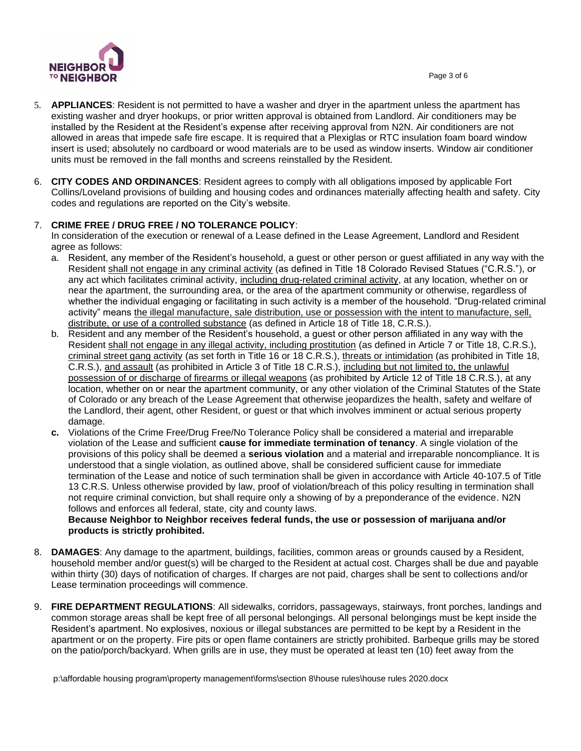

- 5. **APPLIANCES**: Resident is not permitted to have a washer and dryer in the apartment unless the apartment has existing washer and dryer hookups, or prior written approval is obtained from Landlord. Air conditioners may be installed by the Resident at the Resident's expense after receiving approval from N2N. Air conditioners are not allowed in areas that impede safe fire escape. It is required that a Plexiglas or RTC insulation foam board window insert is used; absolutely no cardboard or wood materials are to be used as window inserts. Window air conditioner units must be removed in the fall months and screens reinstalled by the Resident.
- 6. **CITY CODES AND ORDINANCES**: Resident agrees to comply with all obligations imposed by applicable Fort Collins/Loveland provisions of building and housing codes and ordinances materially affecting health and safety. City codes and regulations are reported on the City's website.

## 7. **CRIME FREE / DRUG FREE / NO TOLERANCE POLICY**:

In consideration of the execution or renewal of a Lease defined in the Lease Agreement, Landlord and Resident agree as follows:

- a. Resident, any member of the Resident's household, a guest or other person or guest affiliated in any way with the Resident shall not engage in any criminal activity (as defined in Title 18 Colorado Revised Statues ("C.R.S."), or any act which facilitates criminal activity, including drug-related criminal activity, at any location, whether on or near the apartment, the surrounding area, or the area of the apartment community or otherwise, regardless of whether the individual engaging or facilitating in such activity is a member of the household. "Drug-related criminal activity" means the illegal manufacture, sale distribution, use or possession with the intent to manufacture, sell, distribute, or use of a controlled substance (as defined in Article 18 of Title 18, C.R.S.).
- b. Resident and any member of the Resident's household, a guest or other person affiliated in any way with the Resident shall not engage in any illegal activity, including prostitution (as defined in Article 7 or Title 18, C.R.S.), criminal street gang activity (as set forth in Title 16 or 18 C.R.S.), threats or intimidation (as prohibited in Title 18, C.R.S.), and assault (as prohibited in Article 3 of Title 18 C.R.S.), including but not limited to, the unlawful possession of or discharge of firearms or illegal weapons (as prohibited by Article 12 of Title 18 C.R.S.), at any location, whether on or near the apartment community, or any other violation of the Criminal Statutes of the State of Colorado or any breach of the Lease Agreement that otherwise jeopardizes the health, safety and welfare of the Landlord, their agent, other Resident, or guest or that which involves imminent or actual serious property damage.
- **c.** Violations of the Crime Free/Drug Free/No Tolerance Policy shall be considered a material and irreparable violation of the Lease and sufficient **cause for immediate termination of tenancy**. A single violation of the provisions of this policy shall be deemed a **serious violation** and a material and irreparable noncompliance. It is understood that a single violation, as outlined above, shall be considered sufficient cause for immediate termination of the Lease and notice of such termination shall be given in accordance with Article 40-107.5 of Title 13 C.R.S. Unless otherwise provided by law, proof of violation/breach of this policy resulting in termination shall not require criminal conviction, but shall require only a showing of by a preponderance of the evidence. N2N follows and enforces all federal, state, city and county laws.

## **Because Neighbor to Neighbor receives federal funds, the use or possession of marijuana and/or products is strictly prohibited.**

- 8. **DAMAGES**: Any damage to the apartment, buildings, facilities, common areas or grounds caused by a Resident, household member and/or guest(s) will be charged to the Resident at actual cost. Charges shall be due and payable within thirty (30) days of notification of charges. If charges are not paid, charges shall be sent to collections and/or Lease termination proceedings will commence.
- 9. **FIRE DEPARTMENT REGULATIONS**: All sidewalks, corridors, passageways, stairways, front porches, landings and common storage areas shall be kept free of all personal belongings. All personal belongings must be kept inside the Resident's apartment. No explosives, noxious or illegal substances are permitted to be kept by a Resident in the apartment or on the property. Fire pits or open flame containers are strictly prohibited. Barbeque grills may be stored on the patio/porch/backyard. When grills are in use, they must be operated at least ten (10) feet away from the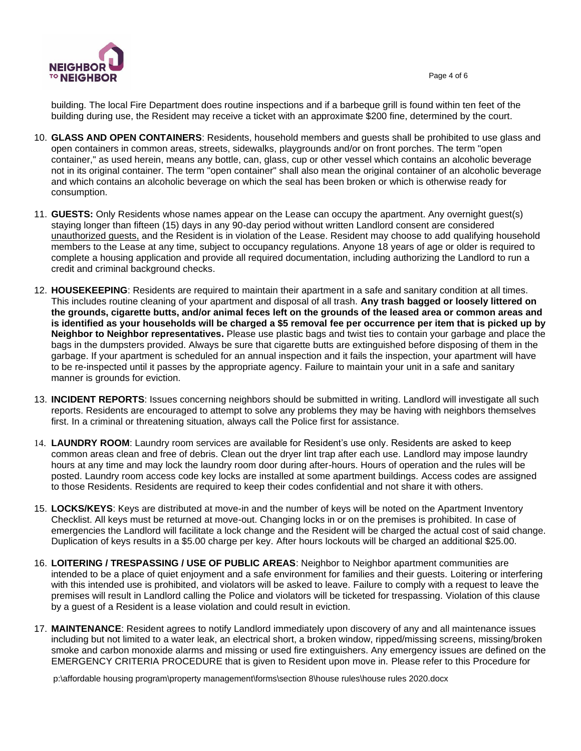building. The local Fire Department does routine inspections and if a barbeque grill is found within ten feet of the building during use, the Resident may receive a ticket with an approximate \$200 fine, determined by the court.

- 10. **GLASS AND OPEN CONTAINERS**: Residents, household members and guests shall be prohibited to use glass and open containers in common areas, streets, sidewalks, playgrounds and/or on front porches. The term "open container," as used herein, means any bottle, can, glass, cup or other vessel which contains an alcoholic beverage not in its original container. The term "open container" shall also mean the original container of an alcoholic beverage and which contains an alcoholic beverage on which the seal has been broken or which is otherwise ready for consumption.
- 11. **GUESTS:** Only Residents whose names appear on the Lease can occupy the apartment. Any overnight guest(s) staying longer than fifteen (15) days in any 90-day period without written Landlord consent are considered unauthorized guests, and the Resident is in violation of the Lease. Resident may choose to add qualifying household members to the Lease at any time, subject to occupancy regulations. Anyone 18 years of age or older is required to complete a housing application and provide all required documentation, including authorizing the Landlord to run a credit and criminal background checks.
- 12. **HOUSEKEEPING**: Residents are required to maintain their apartment in a safe and sanitary condition at all times. This includes routine cleaning of your apartment and disposal of all trash. **Any trash bagged or loosely littered on the grounds, cigarette butts, and/or animal feces left on the grounds of the leased area or common areas and is identified as your households will be charged a \$5 removal fee per occurrence per item that is picked up by Neighbor to Neighbor representatives.** Please use plastic bags and twist ties to contain your garbage and place the bags in the dumpsters provided. Always be sure that cigarette butts are extinguished before disposing of them in the garbage. If your apartment is scheduled for an annual inspection and it fails the inspection, your apartment will have to be re-inspected until it passes by the appropriate agency. Failure to maintain your unit in a safe and sanitary manner is grounds for eviction.
- 13. **INCIDENT REPORTS**: Issues concerning neighbors should be submitted in writing. Landlord will investigate all such reports. Residents are encouraged to attempt to solve any problems they may be having with neighbors themselves first. In a criminal or threatening situation, always call the Police first for assistance.
- 14. **LAUNDRY ROOM**: Laundry room services are available for Resident's use only. Residents are asked to keep common areas clean and free of debris. Clean out the dryer lint trap after each use. Landlord may impose laundry hours at any time and may lock the laundry room door during after-hours. Hours of operation and the rules will be posted. Laundry room access code key locks are installed at some apartment buildings. Access codes are assigned to those Residents. Residents are required to keep their codes confidential and not share it with others.
- 15. **LOCKS/KEYS**: Keys are distributed at move-in and the number of keys will be noted on the Apartment Inventory Checklist. All keys must be returned at move-out. Changing locks in or on the premises is prohibited. In case of emergencies the Landlord will facilitate a lock change and the Resident will be charged the actual cost of said change. Duplication of keys results in a \$5.00 charge per key. After hours lockouts will be charged an additional \$25.00.
- 16. **LOITERING / TRESPASSING / USE OF PUBLIC AREAS**: Neighbor to Neighbor apartment communities are intended to be a place of quiet enjoyment and a safe environment for families and their guests. Loitering or interfering with this intended use is prohibited, and violators will be asked to leave. Failure to comply with a request to leave the premises will result in Landlord calling the Police and violators will be ticketed for trespassing. Violation of this clause by a guest of a Resident is a lease violation and could result in eviction.
- 17. **MAINTENANCE**: Resident agrees to notify Landlord immediately upon discovery of any and all maintenance issues including but not limited to a water leak, an electrical short, a broken window, ripped/missing screens, missing/broken smoke and carbon monoxide alarms and missing or used fire extinguishers. Any emergency issues are defined on the EMERGENCY CRITERIA PROCEDURE that is given to Resident upon move in. Please refer to this Procedure for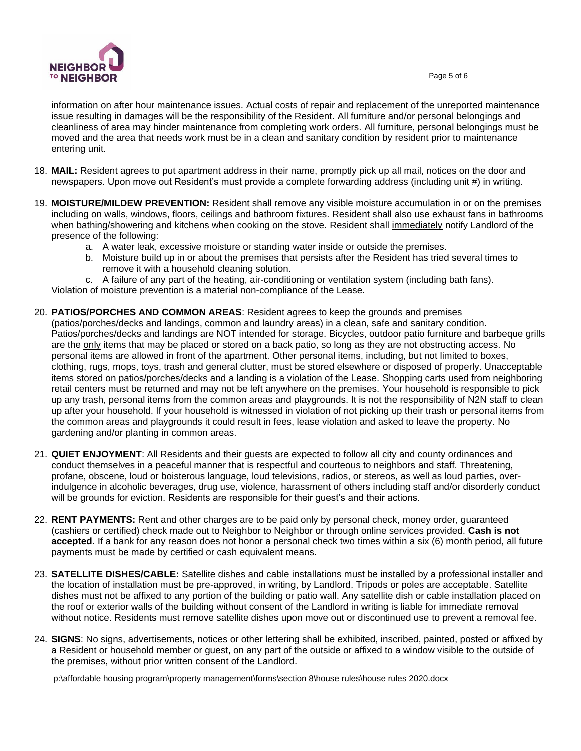

information on after hour maintenance issues. Actual costs of repair and replacement of the unreported maintenance issue resulting in damages will be the responsibility of the Resident. All furniture and/or personal belongings and cleanliness of area may hinder maintenance from completing work orders. All furniture, personal belongings must be moved and the area that needs work must be in a clean and sanitary condition by resident prior to maintenance entering unit.

- 18. **MAIL:** Resident agrees to put apartment address in their name, promptly pick up all mail, notices on the door and newspapers. Upon move out Resident's must provide a complete forwarding address (including unit #) in writing.
- 19. **MOISTURE/MILDEW PREVENTION:** Resident shall remove any visible moisture accumulation in or on the premises including on walls, windows, floors, ceilings and bathroom fixtures. Resident shall also use exhaust fans in bathrooms when bathing/showering and kitchens when cooking on the stove. Resident shall immediately notify Landlord of the presence of the following:
	- a. A water leak, excessive moisture or standing water inside or outside the premises.
	- b. Moisture build up in or about the premises that persists after the Resident has tried several times to remove it with a household cleaning solution.
	- c. A failure of any part of the heating, air-conditioning or ventilation system (including bath fans).

Violation of moisture prevention is a material non-compliance of the Lease.

- 20. **PATIOS/PORCHES AND COMMON AREAS**: Resident agrees to keep the grounds and premises (patios/porches/decks and landings, common and laundry areas) in a clean, safe and sanitary condition. Patios/porches/decks and landings are NOT intended for storage. Bicycles, outdoor patio furniture and barbeque grills are the only items that may be placed or stored on a back patio, so long as they are not obstructing access. No personal items are allowed in front of the apartment. Other personal items, including, but not limited to boxes, clothing, rugs, mops, toys, trash and general clutter, must be stored elsewhere or disposed of properly. Unacceptable items stored on patios/porches/decks and a landing is a violation of the Lease. Shopping carts used from neighboring retail centers must be returned and may not be left anywhere on the premises. Your household is responsible to pick up any trash, personal items from the common areas and playgrounds. It is not the responsibility of N2N staff to clean up after your household. If your household is witnessed in violation of not picking up their trash or personal items from the common areas and playgrounds it could result in fees, lease violation and asked to leave the property. No gardening and/or planting in common areas.
- 21. **QUIET ENJOYMENT**: All Residents and their guests are expected to follow all city and county ordinances and conduct themselves in a peaceful manner that is respectful and courteous to neighbors and staff. Threatening, profane, obscene, loud or boisterous language, loud televisions, radios, or stereos, as well as loud parties, overindulgence in alcoholic beverages, drug use, violence, harassment of others including staff and/or disorderly conduct will be grounds for eviction. Residents are responsible for their guest's and their actions.
- 22. **RENT PAYMENTS:** Rent and other charges are to be paid only by personal check, money order, guaranteed (cashiers or certified) check made out to Neighbor to Neighbor or through online services provided. **Cash is not accepted**. If a bank for any reason does not honor a personal check two times within a six (6) month period, all future payments must be made by certified or cash equivalent means.
- 23. **SATELLITE DISHES/CABLE:** Satellite dishes and cable installations must be installed by a professional installer and the location of installation must be pre-approved, in writing, by Landlord. Tripods or poles are acceptable. Satellite dishes must not be affixed to any portion of the building or patio wall. Any satellite dish or cable installation placed on the roof or exterior walls of the building without consent of the Landlord in writing is liable for immediate removal without notice. Residents must remove satellite dishes upon move out or discontinued use to prevent a removal fee.
- 24. **SIGNS**: No signs, advertisements, notices or other lettering shall be exhibited, inscribed, painted, posted or affixed by a Resident or household member or guest, on any part of the outside or affixed to a window visible to the outside of the premises, without prior written consent of the Landlord.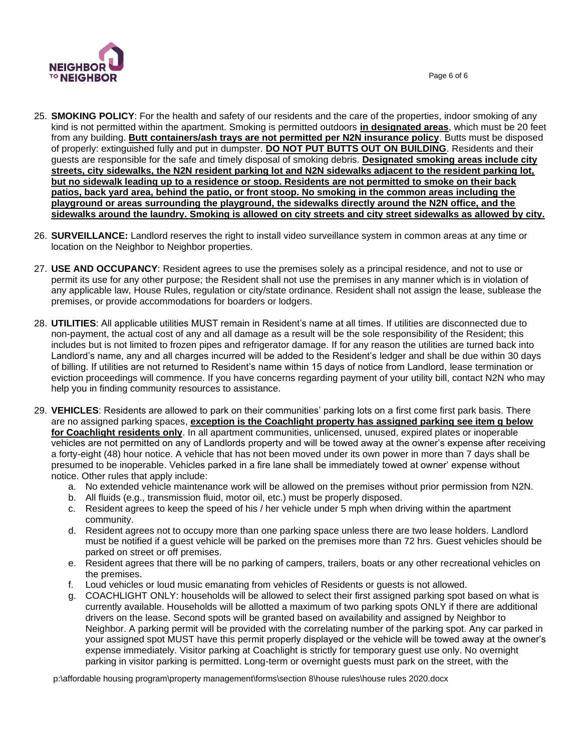

- 25. **SMOKING POLICY**: For the health and safety of our residents and the care of the properties, indoor smoking of any kind is not permitted within the apartment. Smoking is permitted outdoors **in designated areas**, which must be 20 feet from any building. **Butt containers/ash trays are not permitted per N2N insurance policy**. Butts must be disposed of properly: extinguished fully and put in dumpster. **DO NOT PUT BUTTS OUT ON BUILDING**. Residents and their guests are responsible for the safe and timely disposal of smoking debris. **Designated smoking areas include city streets, city sidewalks, the N2N resident parking lot and N2N sidewalks adjacent to the resident parking lot, but no sidewalk leading up to a residence or stoop. Residents are not permitted to smoke on their back patios, back yard area, behind the patio, or front stoop. No smoking in the common areas including the playground or areas surrounding the playground, the sidewalks directly around the N2N office, and the sidewalks around the laundry. Smoking is allowed on city streets and city street sidewalks as allowed by city.**
- 26. **SURVEILLANCE:** Landlord reserves the right to install video surveillance system in common areas at any time or location on the Neighbor to Neighbor properties.
- 27. **USE AND OCCUPANCY**: Resident agrees to use the premises solely as a principal residence, and not to use or permit its use for any other purpose; the Resident shall not use the premises in any manner which is in violation of any applicable law, House Rules, regulation or city/state ordinance. Resident shall not assign the lease, sublease the premises, or provide accommodations for boarders or lodgers.
- 28. **UTILITIES**: All applicable utilities MUST remain in Resident's name at all times. If utilities are disconnected due to non-payment, the actual cost of any and all damage as a result will be the sole responsibility of the Resident; this includes but is not limited to frozen pipes and refrigerator damage. If for any reason the utilities are turned back into Landlord's name, any and all charges incurred will be added to the Resident's ledger and shall be due within 30 days of billing. If utilities are not returned to Resident's name within 15 days of notice from Landlord, lease termination or eviction proceedings will commence. If you have concerns regarding payment of your utility bill, contact N2N who may help you in finding community resources to assistance.
- 29. **VEHICLES**: Residents are allowed to park on their communities' parking lots on a first come first park basis. There are no assigned parking spaces, **exception is the Coachlight property has assigned parking see item g below for Coachlight residents only**. In all apartment communities, unlicensed, unused, expired plates or inoperable vehicles are not permitted on any of Landlords property and will be towed away at the owner's expense after receiving a forty-eight (48) hour notice. A vehicle that has not been moved under its own power in more than 7 days shall be presumed to be inoperable. Vehicles parked in a fire lane shall be immediately towed at owner' expense without notice. Other rules that apply include:
	- a. No extended vehicle maintenance work will be allowed on the premises without prior permission from N2N.
	- b. All fluids (e.g., transmission fluid, motor oil, etc.) must be properly disposed.
	- c. Resident agrees to keep the speed of his / her vehicle under 5 mph when driving within the apartment community.
	- d. Resident agrees not to occupy more than one parking space unless there are two lease holders. Landlord must be notified if a guest vehicle will be parked on the premises more than 72 hrs. Guest vehicles should be parked on street or off premises.
	- e. Resident agrees that there will be no parking of campers, trailers, boats or any other recreational vehicles on the premises.
	- f. Loud vehicles or loud music emanating from vehicles of Residents or guests is not allowed.
	- g. COACHLIGHT ONLY: households will be allowed to select their first assigned parking spot based on what is currently available. Households will be allotted a maximum of two parking spots ONLY if there are additional drivers on the lease. Second spots will be granted based on availability and assigned by Neighbor to Neighbor. A parking permit will be provided with the correlating number of the parking spot. Any car parked in your assigned spot MUST have this permit properly displayed or the vehicle will be towed away at the owner's expense immediately. Visitor parking at Coachlight is strictly for temporary guest use only. No overnight parking in visitor parking is permitted. Long-term or overnight guests must park on the street, with the